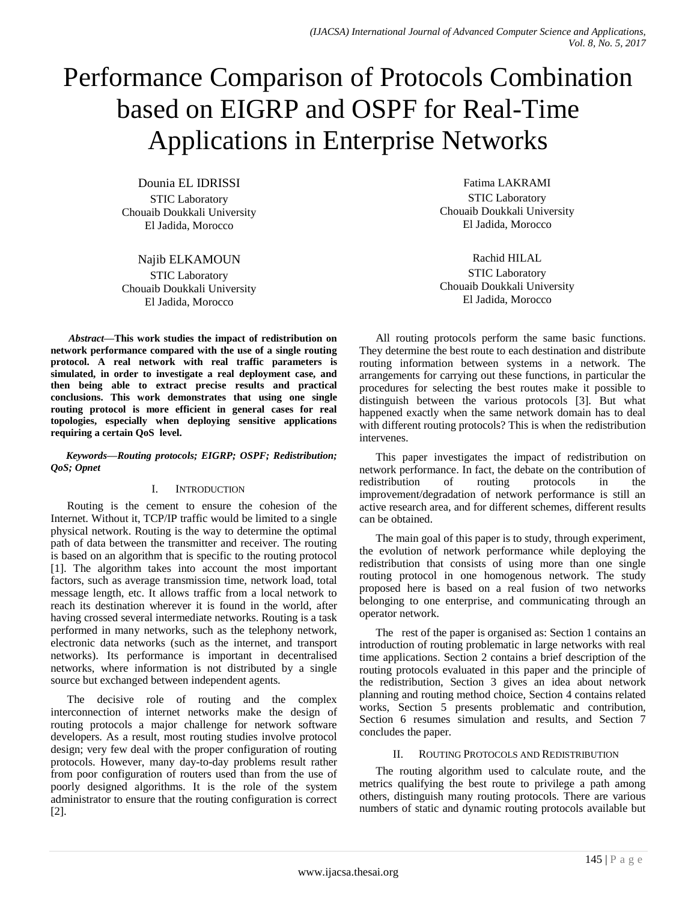# Performance Comparison of Protocols Combination based on EIGRP and OSPF for Real-Time Applications in Enterprise Networks

Dounia EL IDRISSI STIC Laboratory Chouaib Doukkali University El Jadida, Morocco

Najib ELKAMOUN STIC Laboratory Chouaib Doukkali University El Jadida, Morocco

*Abstract***—This work studies the impact of redistribution on network performance compared with the use of a single routing protocol. A real network with real traffic parameters is simulated, in order to investigate a real deployment case, and then being able to extract precise results and practical conclusions. This work demonstrates that using one single routing protocol is more efficient in general cases for real topologies, especially when deploying sensitive applications requiring a certain QoS level.**

*Keywords—Routing protocols; EIGRP; OSPF; Redistribution; QoS; Opnet*

# I. INTRODUCTION

Routing is the cement to ensure the cohesion of the Internet. Without it, TCP/IP traffic would be limited to a single physical network. Routing is the way to determine the optimal path of data between the transmitter and receiver. The routing is based on an algorithm that is specific to the routing protocol [1]. The algorithm takes into account the most important factors, such as average transmission time, network load, total message length, etc. It allows traffic from a local network to reach its destination wherever it is found in the world, after having crossed several intermediate networks. Routing is a task performed in many networks, such as the telephony network, electronic data networks (such as the internet, and transport networks). Its performance is important in decentralised networks, where information is not distributed by a single source but exchanged between independent agents.

The decisive role of routing and the complex interconnection of internet networks make the design of routing protocols a major challenge for network software developers. As a result, most routing studies involve protocol design; very few deal with the proper configuration of routing protocols. However, many day-to-day problems result rather from poor configuration of routers used than from the use of poorly designed algorithms. It is the role of the system administrator to ensure that the routing configuration is correct [2].

Fatima LAKRAMI STIC Laboratory Chouaib Doukkali University El Jadida, Morocco

Rachid HILAL STIC Laboratory Chouaib Doukkali University El Jadida, Morocco

All routing protocols perform the same basic functions. They determine the best route to each destination and distribute routing information between systems in a network. The arrangements for carrying out these functions, in particular the procedures for selecting the best routes make it possible to distinguish between the various protocols [3]. But what happened exactly when the same network domain has to deal with different routing protocols? This is when the redistribution intervenes.

This paper investigates the impact of redistribution on network performance. In fact, the debate on the contribution of<br>redistribution of routing protocols in the redistribution of routing protocols in the improvement/degradation of network performance is still an active research area, and for different schemes, different results can be obtained.

The main goal of this paper is to study, through experiment, the evolution of network performance while deploying the redistribution that consists of using more than one single routing protocol in one homogenous network. The study proposed here is based on a real fusion of two networks belonging to one enterprise, and communicating through an operator network.

The rest of the paper is organised as: Section 1 contains an introduction of routing problematic in large networks with real time applications. Section 2 contains a brief description of the routing protocols evaluated in this paper and the principle of the redistribution, Section 3 gives an idea about network planning and routing method choice, Section 4 contains related works, Section 5 presents problematic and contribution, Section 6 resumes simulation and results, and Section 7 concludes the paper.

### II. ROUTING PROTOCOLS AND REDISTRIBUTION

The routing algorithm used to calculate route, and the metrics qualifying the best route to privilege a path among others, distinguish many routing protocols. There are various numbers of static and dynamic routing protocols available but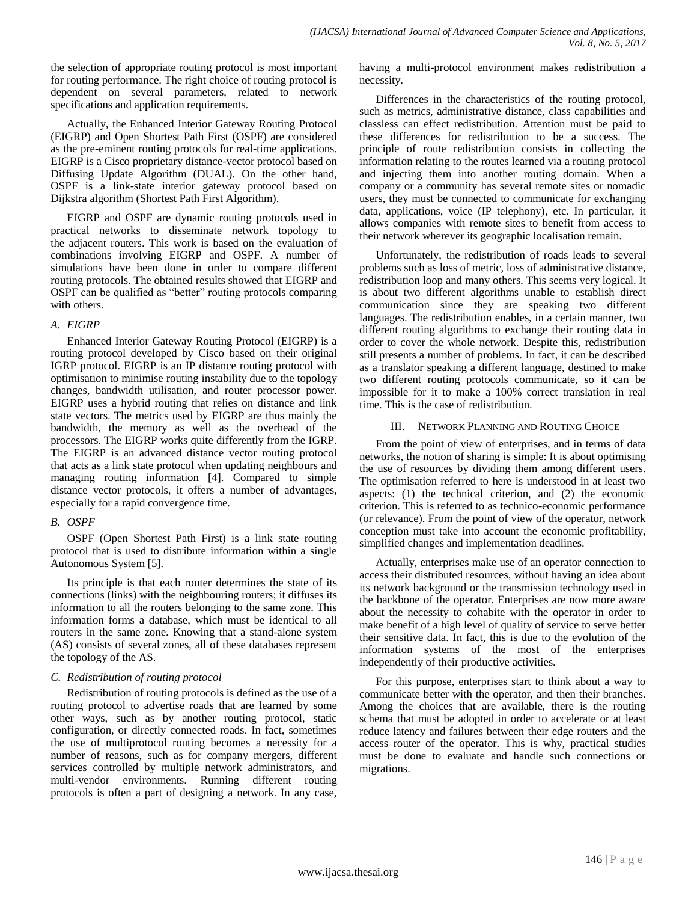the selection of appropriate routing protocol is most important for routing performance. The right choice of routing protocol is dependent on several parameters, related to network specifications and application requirements.

Actually, the Enhanced Interior Gateway Routing Protocol (EIGRP) and Open Shortest Path First (OSPF) are considered as the pre-eminent routing protocols for real-time applications. EIGRP is a Cisco proprietary distance-vector protocol based on Diffusing Update Algorithm (DUAL). On the other hand, OSPF is a link-state interior gateway protocol based on Dijkstra algorithm (Shortest Path First Algorithm).

EIGRP and OSPF are dynamic routing protocols used in practical networks to disseminate network topology to the adjacent routers. This work is based on the evaluation of combinations involving EIGRP and OSPF. A number of simulations have been done in order to compare different routing protocols. The obtained results showed that EIGRP and OSPF can be qualified as "better" routing protocols comparing with others.

# *A. EIGRP*

Enhanced Interior Gateway Routing Protocol (EIGRP) is a routing protocol developed by Cisco based on their original IGRP protocol. EIGRP is an IP distance routing protocol with optimisation to minimise routing instability due to the topology changes, bandwidth utilisation, and router processor power. EIGRP uses a hybrid routing that relies on distance and link state vectors. The metrics used by EIGRP are thus mainly the bandwidth, the memory as well as the overhead of the processors. The EIGRP works quite differently from the IGRP. The EIGRP is an advanced distance vector routing protocol that acts as a link state protocol when updating neighbours and managing routing information [4]. Compared to simple distance vector protocols, it offers a number of advantages, especially for a rapid convergence time.

# *B. OSPF*

OSPF (Open Shortest Path First) is a link state routing protocol that is used to distribute information within a single Autonomous System [5].

Its principle is that each router determines the state of its connections (links) with the neighbouring routers; it diffuses its information to all the routers belonging to the same zone. This information forms a database, which must be identical to all routers in the same zone. Knowing that a stand-alone system (AS) consists of several zones, all of these databases represent the topology of the AS.

# *C. Redistribution of routing protocol*

Redistribution of routing protocols is defined as the use of a routing protocol to advertise roads that are learned by some other ways, such as by another routing protocol, static configuration, or directly connected roads. In fact, sometimes the use of multiprotocol routing becomes a necessity for a number of reasons, such as for company mergers, different services controlled by multiple network administrators, and multi-vendor environments. Running different routing protocols is often a part of designing a network. In any case,

having a multi-protocol environment makes redistribution a necessity.

Differences in the characteristics of the routing protocol, such as metrics, administrative distance, class capabilities and classless can effect redistribution. Attention must be paid to these differences for redistribution to be a success. The principle of route redistribution consists in collecting the information relating to the routes learned via a routing protocol and injecting them into another routing domain. When a company or a community has several remote sites or nomadic users, they must be connected to communicate for exchanging data, applications, voice (IP telephony), etc. In particular, it allows companies with remote sites to benefit from access to their network wherever its geographic localisation remain.

Unfortunately, the redistribution of roads leads to several problems such as loss of metric, loss of administrative distance, redistribution loop and many others. This seems very logical. It is about two different algorithms unable to establish direct communication since they are speaking two different languages. The redistribution enables, in a certain manner, two different routing algorithms to exchange their routing data in order to cover the whole network. Despite this, redistribution still presents a number of problems. In fact, it can be described as a translator speaking a different language, destined to make two different routing protocols communicate, so it can be impossible for it to make a 100% correct translation in real time. This is the case of redistribution.

# III. NETWORK PLANNING AND ROUTING CHOICE

From the point of view of enterprises, and in terms of data networks, the notion of sharing is simple: It is about optimising the use of resources by dividing them among different users. The optimisation referred to here is understood in at least two aspects: (1) the technical criterion, and (2) the economic criterion. This is referred to as technico-economic performance (or relevance). From the point of view of the operator, network conception must take into account the economic profitability, simplified changes and implementation deadlines.

Actually, enterprises make use of an operator connection to access their distributed resources, without having an idea about its network background or the transmission technology used in the backbone of the operator. Enterprises are now more aware about the necessity to cohabite with the operator in order to make benefit of a high level of quality of service to serve better their sensitive data. In fact, this is due to the evolution of the information systems of the most of the enterprises independently of their productive activities.

For this purpose, enterprises start to think about a way to communicate better with the operator, and then their branches. Among the choices that are available, there is the routing schema that must be adopted in order to accelerate or at least reduce latency and failures between their edge routers and the access router of the operator. This is why, practical studies must be done to evaluate and handle such connections or migrations.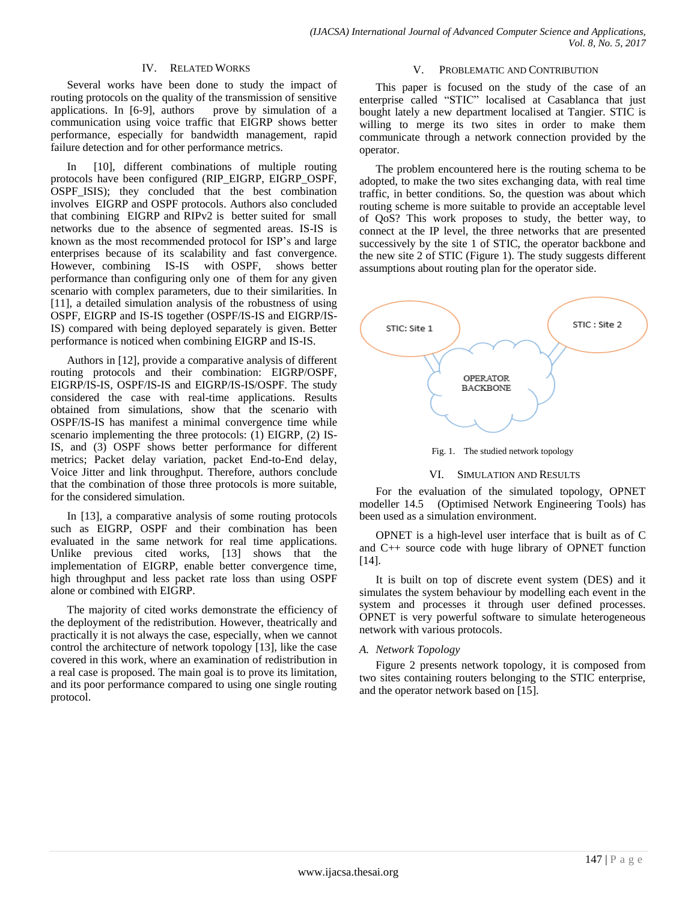#### IV. RELATED WORKS

Several works have been done to study the impact of routing protocols on the quality of the transmission of sensitive applications. In [6-9], authors prove by simulation of a communication using voice traffic that EIGRP shows better performance, especially for bandwidth management, rapid failure detection and for other performance metrics.

In [10], different combinations of multiple routing protocols have been configured (RIP\_EIGRP, EIGRP\_OSPF, OSPF\_ISIS); they concluded that the best combination involves EIGRP and OSPF protocols. Authors also concluded that combining EIGRP and RIPv2 is better suited for small networks due to the absence of segmented areas. IS-IS is known as the most recommended protocol for ISP's and large enterprises because of its scalability and fast convergence. However, combining IS-IS with OSPF, shows better performance than configuring only one of them for any given scenario with complex parameters, due to their similarities. In [11], a detailed simulation analysis of the robustness of using OSPF, EIGRP and IS-IS together (OSPF/IS-IS and EIGRP/IS-IS) compared with being deployed separately is given. Better performance is noticed when combining EIGRP and IS-IS.

Authors in [12], provide a comparative analysis of different routing protocols and their combination: EIGRP/OSPF, EIGRP/IS-IS, OSPF/IS-IS and EIGRP/IS-IS/OSPF. The study considered the case with real-time applications. Results obtained from simulations, show that the scenario with OSPF/IS-IS has manifest a minimal convergence time while scenario implementing the three protocols: (1) EIGRP, (2) IS-IS, and (3) OSPF shows better performance for different metrics; Packet delay variation, packet End-to-End delay, Voice Jitter and link throughput. Therefore, authors conclude that the combination of those three protocols is more suitable, for the considered simulation.

In [13], a comparative analysis of some routing protocols such as EIGRP, OSPF and their combination has been evaluated in the same network for real time applications. Unlike previous cited works, [13] shows that the implementation of EIGRP, enable better convergence time, high throughput and less packet rate loss than using OSPF alone or combined with EIGRP.

The majority of cited works demonstrate the efficiency of the deployment of the redistribution. However, theatrically and practically it is not always the case, especially, when we cannot control the architecture of network topology [13], like the case covered in this work, where an examination of redistribution in a real case is proposed. The main goal is to prove its limitation, and its poor performance compared to using one single routing protocol.

#### V. PROBLEMATIC AND CONTRIBUTION

This paper is focused on the study of the case of an enterprise called "STIC" localised at Casablanca that just bought lately a new department localised at Tangier. STIC is willing to merge its two sites in order to make them communicate through a network connection provided by the operator.

The problem encountered here is the routing schema to be adopted, to make the two sites exchanging data, with real time traffic, in better conditions. So, the question was about which routing scheme is more suitable to provide an acceptable level of QoS? This work proposes to study, the better way, to connect at the IP level, the three networks that are presented successively by the site 1 of STIC, the operator backbone and the new site 2 of STIC (Figure 1). The study suggests different assumptions about routing plan for the operator side.



Fig. 1. The studied network topology

#### VI. SIMULATION AND RESULTS

For the evaluation of the simulated topology, OPNET modeller 14.5 (Optimised Network Engineering Tools) has been used as a simulation environment.

OPNET is a high-level user interface that is built as of C and C++ source code with huge library of OPNET function [14].

It is built on top of discrete event system (DES) and it simulates the system behaviour by modelling each event in the system and processes it through user defined processes. OPNET is very powerful software to simulate heterogeneous network with various protocols.

#### *A. Network Topology*

Figure 2 presents network topology, it is composed from two sites containing routers belonging to the STIC enterprise, and the operator network based on [15].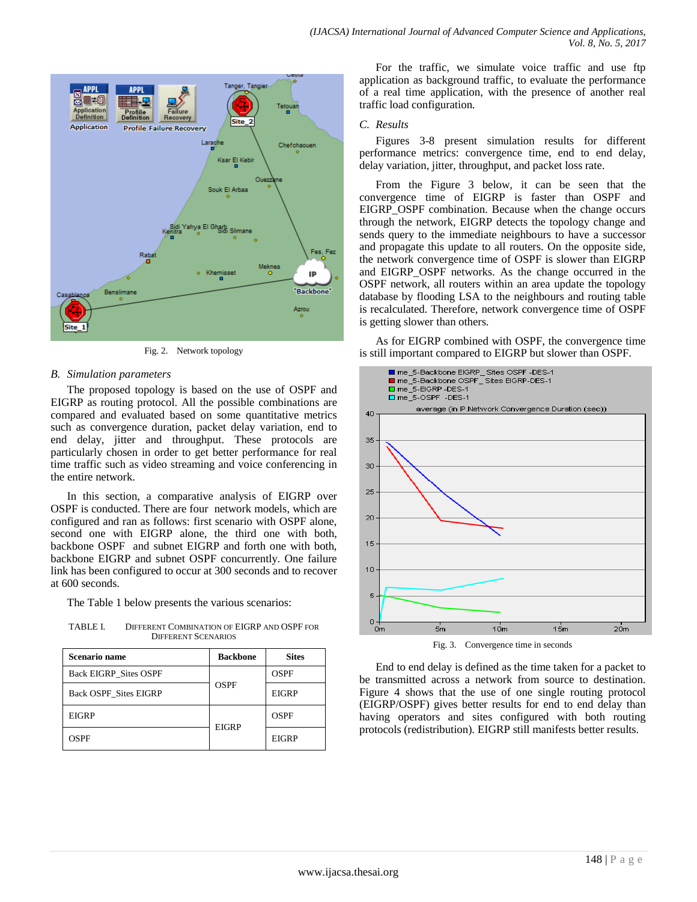

Fig. 2. Network topology

# *B. Simulation parameters*

The proposed topology is based on the use of OSPF and EIGRP as routing protocol. All the possible combinations are compared and evaluated based on some quantitative metrics such as convergence duration, packet delay variation, end to end delay, jitter and throughput. These protocols are particularly chosen in order to get better performance for real time traffic such as video streaming and voice conferencing in the entire network.

In this section, a comparative analysis of EIGRP over OSPF is conducted. There are four network models, which are configured and ran as follows: first scenario with OSPF alone, second one with EIGRP alone, the third one with both, backbone OSPF and subnet EIGRP and forth one with both, backbone EIGRP and subnet OSPF concurrently. One failure link has been configured to occur at 300 seconds and to recover at 600 seconds.

The Table 1 below presents the various scenarios:

TABLE I. DIFFERENT COMBINATION OF EIGRP AND OSPF FOR DIFFERENT SCENARIOS

| <b>Scenario name</b>         | <b>Backbone</b> | <b>Sites</b> |
|------------------------------|-----------------|--------------|
| <b>Back EIGRP Sites OSPF</b> | <b>OSPF</b>     | <b>OSPF</b>  |
| <b>Back OSPF Sites EIGRP</b> |                 | <b>EIGRP</b> |
| <b>EIGRP</b>                 | <b>EIGRP</b>    | <b>OSPF</b>  |
| OSPF                         |                 | <b>EIGRP</b> |

For the traffic, we simulate voice traffic and use ftp application as background traffic, to evaluate the performance of a real time application, with the presence of another real traffic load configuration.

## *C. Results*

Figures 3-8 present simulation results for different performance metrics: convergence time, end to end delay, delay variation, jitter, throughput, and packet loss rate.

From the Figure 3 below, it can be seen that the convergence time of EIGRP is faster than OSPF and EIGRP\_OSPF combination. Because when the change occurs through the network, EIGRP detects the topology change and sends query to the immediate neighbours to have a successor and propagate this update to all routers. On the opposite side, the network convergence time of OSPF is slower than EIGRP and EIGRP\_OSPF networks. As the change occurred in the OSPF network, all routers within an area update the topology database by flooding LSA to the neighbours and routing table is recalculated. Therefore, network convergence time of OSPF is getting slower than others.

As for EIGRP combined with OSPF, the convergence time is still important compared to EIGRP but slower than OSPF.



Fig. 3. Convergence time in seconds

End to end delay is defined as the time taken for a packet to be transmitted across a network from source to destination. Figure 4 shows that the use of one single routing protocol (EIGRP/OSPF) gives better results for end to end delay than having operators and sites configured with both routing protocols (redistribution). EIGRP still manifests better results.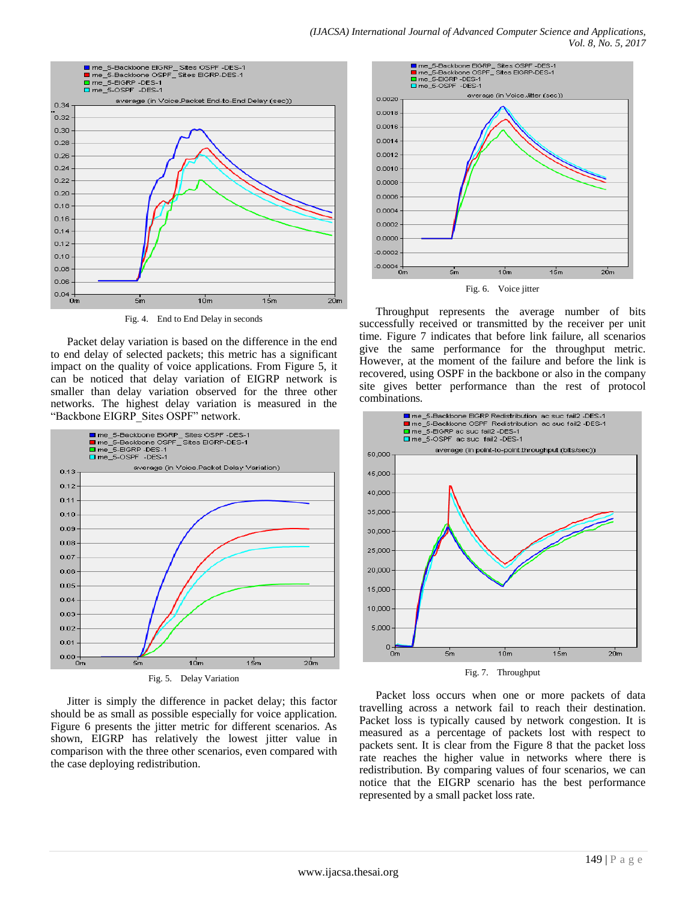

Fig. 4. End to End Delay in seconds

Packet delay variation is based on the difference in the end to end delay of selected packets; this metric has a significant impact on the quality of voice applications. From Figure 5, it can be noticed that delay variation of EIGRP network is smaller than delay variation observed for the three other networks. The highest delay variation is measured in the "Backbone EIGRP\_Sites OSPF" network.



Fig. 5. Delay Variation

Jitter is simply the difference in packet delay; this factor should be as small as possible especially for voice application. Figure 6 presents the jitter metric for different scenarios. As shown, EIGRP has relatively the lowest jitter value in comparison with the three other scenarios, even compared with the case deploying redistribution.



Fig. 6. Voice jitter

Throughput represents the average number of bits successfully received or transmitted by the receiver per unit time. Figure 7 indicates that before link failure, all scenarios give the same performance for the throughput metric. However, at the moment of the failure and before the link is recovered, using OSPF in the backbone or also in the company site gives better performance than the rest of protocol combinations.



Fig. 7. Throughput

Packet loss occurs when one or more packets of data travelling across a network fail to reach their destination. Packet loss is typically caused by network congestion. It is measured as a percentage of packets lost with respect to packets sent. It is clear from the Figure 8 that the packet loss rate reaches the higher value in networks where there is redistribution. By comparing values of four scenarios, we can notice that the EIGRP scenario has the best performance represented by a small packet loss rate.